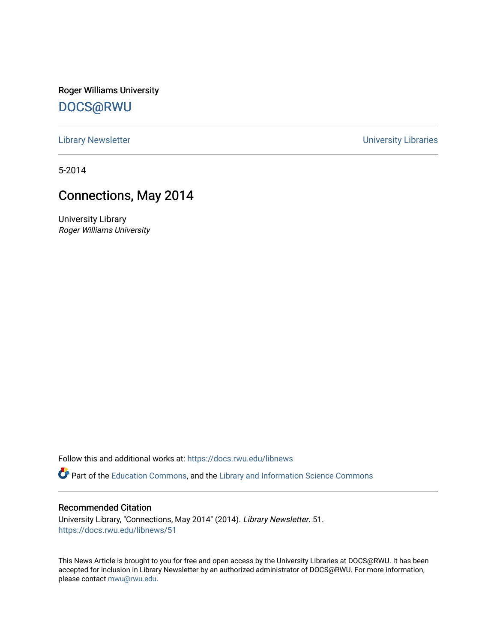Roger Williams University [DOCS@RWU](https://docs.rwu.edu/)

[Library Newsletter](https://docs.rwu.edu/libnews) **Newsletter Newsletter Newsletter Newsletter Newsletter University Libraries** 

5-2014

## Connections, May 2014

University Library Roger Williams University

Follow this and additional works at: [https://docs.rwu.edu/libnews](https://docs.rwu.edu/libnews?utm_source=docs.rwu.edu%2Flibnews%2F51&utm_medium=PDF&utm_campaign=PDFCoverPages)

Part of the [Education Commons](http://network.bepress.com/hgg/discipline/784?utm_source=docs.rwu.edu%2Flibnews%2F51&utm_medium=PDF&utm_campaign=PDFCoverPages), and the Library and Information Science Commons

## Recommended Citation

University Library, "Connections, May 2014" (2014). Library Newsletter. 51. [https://docs.rwu.edu/libnews/51](https://docs.rwu.edu/libnews/51?utm_source=docs.rwu.edu%2Flibnews%2F51&utm_medium=PDF&utm_campaign=PDFCoverPages) 

This News Article is brought to you for free and open access by the University Libraries at DOCS@RWU. It has been accepted for inclusion in Library Newsletter by an authorized administrator of DOCS@RWU. For more information, please contact [mwu@rwu.edu.](mailto:mwu@rwu.edu)